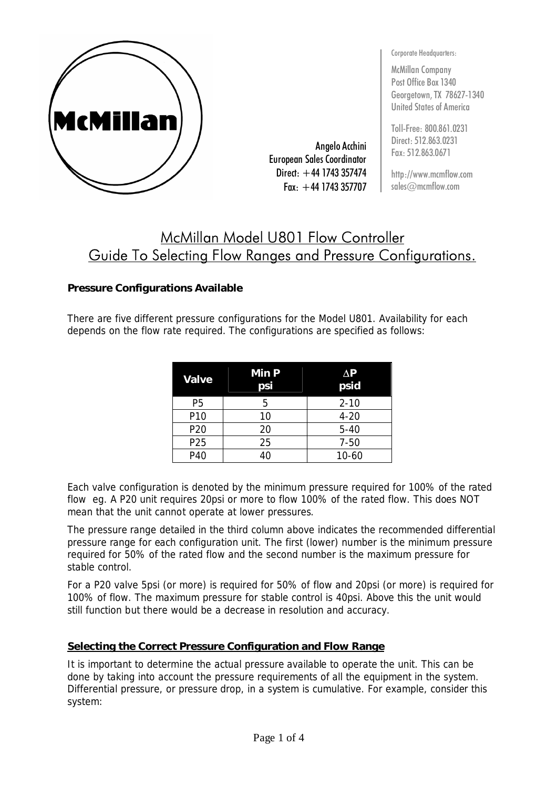

Angelo Acchini European Sales Coordinator Direct:  $+44$  1743 357474  $Fax: +44$  1743 357707 Corporate Headquarters:

McMillan Company Post Office Box 1340 Georgetown, TX 78627-1340 United States of America

Toll-Free: 800.861.0231 Direct: 512.863.0231 Fax: 512.863.0671

http://www.mcmflow.com sales@mcmflow.com

# McMillan Model U801 Flow Controller Guide To Selecting Flow Ranges and Pressure Configurations.

### **Pressure Configurations Available**

There are five different pressure configurations for the Model U801. Availability for each depends on the flow rate required. The configurations are specified as follows:

| Valve           | <b>Min P</b><br>psi | AP<br>psid |
|-----------------|---------------------|------------|
| P5              | 5                   | $2 - 10$   |
| P <sub>10</sub> | 10                  | $4 - 20$   |
| P <sub>20</sub> | 20                  | $5 - 40$   |
| P <sub>25</sub> | 25                  | $7 - 50$   |
| P40             | 40                  | $10 - 60$  |

Each valve configuration is denoted by the minimum pressure required for 100% of the rated flow eg. A P20 unit requires 20psi or more to flow 100% of the rated flow. This does NOT mean that the unit cannot operate at lower pressures.

The pressure range detailed in the third column above indicates the recommended differential pressure range for each configuration unit. The first (lower) number is the minimum pressure required for 50% of the rated flow and the second number is the maximum pressure for stable control.

For a P20 valve 5psi (or more) is required for 50% of flow and 20psi (or more) is required for 100% of flow. The maximum pressure for stable control is 40psi. Above this the unit would still function but there would be a decrease in resolution and accuracy.

#### **Selecting the Correct Pressure Configuration and Flow Range**

It is important to determine the actual pressure available to operate the unit. This can be done by taking into account the pressure requirements of all the equipment in the system. Differential pressure, or pressure drop, in a system is cumulative. For example, consider this system: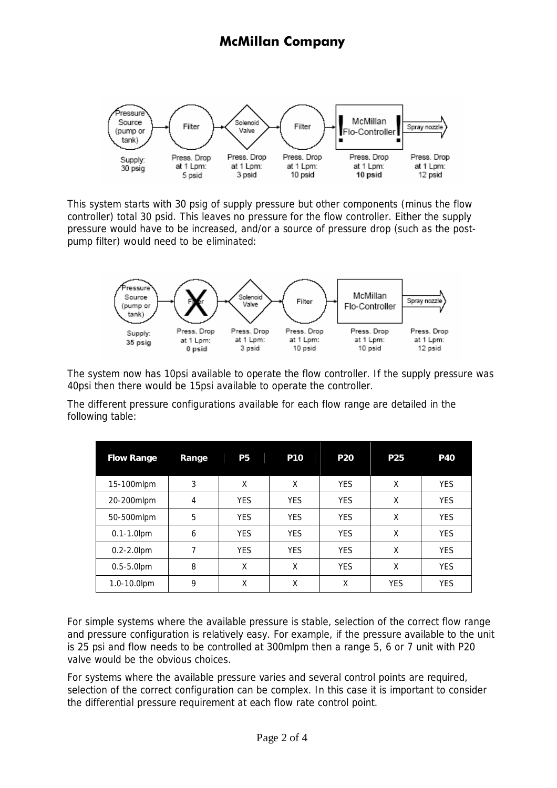## **McMillan Company**



This system starts with 30 psig of supply pressure but other components (minus the flow controller) total 30 psid. This leaves no pressure for the flow controller. Either the supply pressure would have to be increased, and/or a source of pressure drop (such as the postpump filter) would need to be eliminated:



The system now has 10psi available to operate the flow controller. If the supply pressure was 40psi then there would be 15psi available to operate the controller.

The different pressure configurations available for each flow range are detailed in the following table:

| <b>Flow Range</b> | Range | <b>P5</b>  | <b>P10</b> | <b>P20</b> | <b>P25</b> | <b>P40</b> |
|-------------------|-------|------------|------------|------------|------------|------------|
| 15-100mlpm        | 3     | X          | X          | <b>YES</b> | X          | <b>YES</b> |
| 20-200mlpm        | 4     | <b>YES</b> | <b>YES</b> | <b>YES</b> | X          | <b>YES</b> |
| 50-500mlpm        | 5     | <b>YES</b> | <b>YES</b> | <b>YES</b> | X          | <b>YES</b> |
| $0.1 - 1.0$ lpm   | 6     | <b>YES</b> | <b>YES</b> | <b>YES</b> | χ          | <b>YES</b> |
| $0.2 - 2.0$ pm    | 7     | <b>YES</b> | <b>YES</b> | <b>YES</b> | X          | <b>YES</b> |
| $0.5 - 5.0$ lpm   | 8     | X          | X          | <b>YES</b> | X          | <b>YES</b> |
| 1.0-10.0lpm       | 9     | χ          | χ          | X          | <b>YES</b> | <b>YES</b> |

For simple systems where the available pressure is stable, selection of the correct flow range and pressure configuration is relatively easy. For example, if the pressure available to the unit is 25 psi and flow needs to be controlled at 300mlpm then a range 5, 6 or 7 unit with P20 valve would be the obvious choices.

For systems where the available pressure varies and several control points are required, selection of the correct configuration can be complex. In this case it is important to consider the differential pressure requirement at each flow rate control point.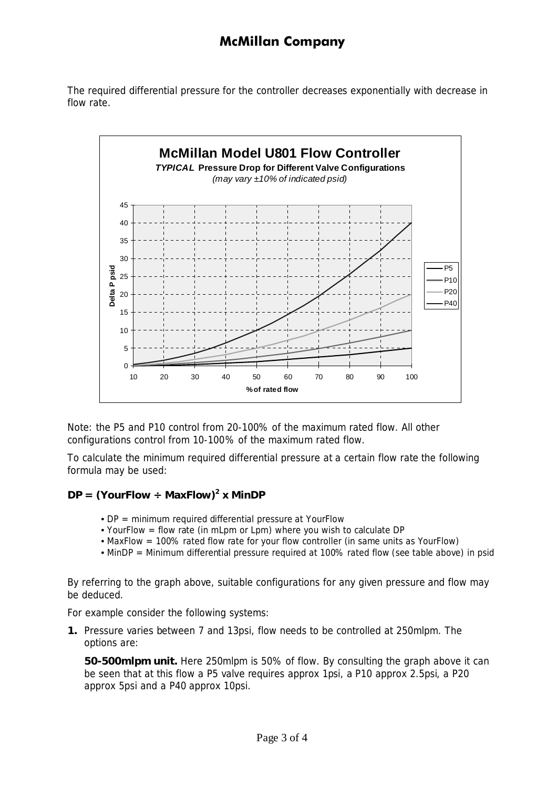### **McMillan Company**

The required differential pressure for the controller decreases exponentially with decrease in flow rate.



Note: the P5 and P10 control from 20-100% of the maximum rated flow. All other configurations control from 10-100% of the maximum rated flow.

To calculate the minimum required differential pressure at a certain flow rate the following formula may be used:

#### **DP = (YourFlow ÷ MaxFlow) 2 x MinDP**

- DP = minimum required differential pressure at YourFlow
- YourFlow = flow rate (in mLpm or Lpm) where you wish to calculate DP
- MaxFlow = 100% rated flow rate for your flow controller (in same units as YourFlow)
- MinDP = Minimum differential pressure required at 100% rated flow (see table above) in psid

By referring to the graph above, suitable configurations for any given pressure and flow may be deduced.

For example consider the following systems:

**1.** Pressure varies between 7 and 13psi, flow needs to be controlled at 250mlpm. The options are:

**50-500mlpm unit.** Here 250mlpm is 50% of flow. By consulting the graph above it can be seen that at this flow a P5 valve requires approx 1psi, a P10 approx 2.5psi, a P20 approx 5psi and a P40 approx 10psi.